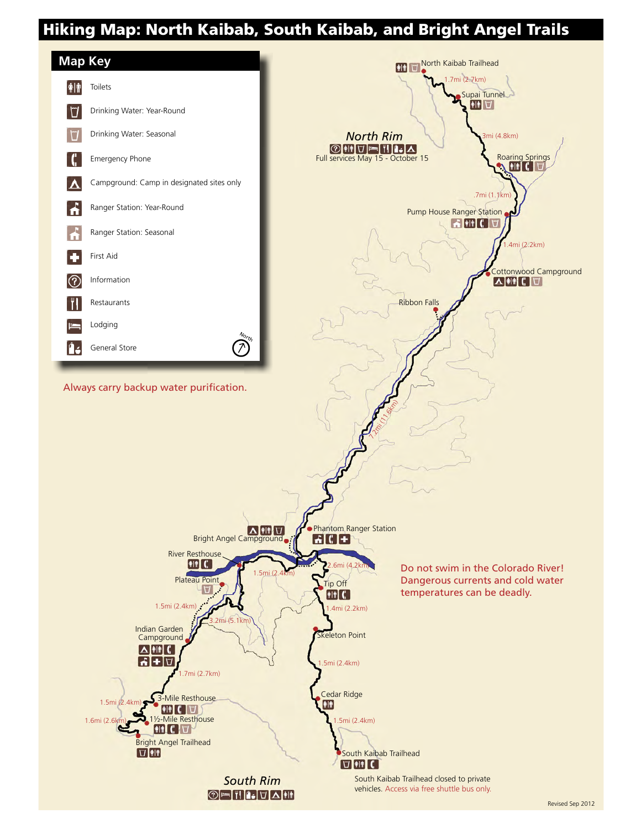# Hiking Map: North Kaibab, South Kaibab, and Bright Angel Trails